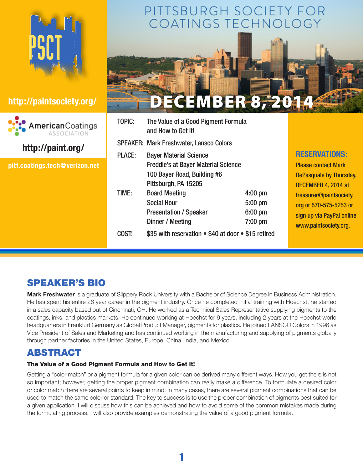



# **http://paint.org/**

**pitt.coatings.tech@verizon.net**

# PITTSBURGH SOCIETY FOR COATINGS TECHNOLOGY



| <b>TOPIC:</b>                                                | The Value of a Good Pigment Formula<br>and How to Get it! |           |                               |
|--------------------------------------------------------------|-----------------------------------------------------------|-----------|-------------------------------|
|                                                              | <b>SPEAKER: Mark Freshwater, Lansco Colors</b>            |           |                               |
| <b>PLACE:</b>                                                | <b>Bayer Material Science</b>                             |           | <b>RESERVATIONS:</b>          |
|                                                              | <b>Freddie's at Bayer Material Science</b>                |           | <b>Please contact Mark</b>    |
|                                                              | 100 Bayer Road, Building #6                               |           | <b>DePasquale by Thursday</b> |
|                                                              | Pittsburgh, PA 15205                                      |           | DECEMBER 4, 2014 at           |
| TIME:                                                        | <b>Board Meeting</b>                                      | $4:00$ pm | treasurer@paintsociety.       |
|                                                              | <b>Social Hour</b>                                        | $5:00$ pm | org or 570-575-5253 or        |
|                                                              | <b>Presentation / Speaker</b>                             | $6:00$ pm | sign up via PayPal online     |
|                                                              | Dinner / Meeting                                          | 7:00 pm   | www.paintsociety.org.         |
| \$35 with reservation • \$40 at door • \$15 retired<br>COST: |                                                           |           |                               |
|                                                              |                                                           |           |                               |

# SPEAKER'S BIO

**Mark Freshwater** is a graduate of Slippery Rock University with a Bachelor of Science Degree in Business Administration. He has spent his entire 26 year career in the pigment industry. Once he completed initial training with Hoechst, he started in a sales capacity based out of Cincinnati, OH. He worked as a Technical Sales Representative supplying pigments to the coatings, inks, and plastics markets. He continued working at Hoechst for 9 years, including 2 years at the Hoechst world headquarters in Frankfurt Germany as Global Product Manager, pigments for plastics. He joined LANSCO Colors in 1996 as Vice President of Sales and Marketing and has continued working in the manufacturing and supplying of pigments globally through partner factories in the United States, Europe, China, India, and Mexico.

# ABSTRACT

### The Value of a Good Pigment Formula and How to Get it!

Getting a "color match" or a pigment formula for a given color can be derived many different ways. How you get there is not so important; however, getting the proper pigment combination can really make a difference. To formulate a desired color or color match there are several points to keep in mind. In many cases, there are several pigment combinations that can be used to match the same color or standard. The key to success is to use the proper combination of pigments best suited for a given application. I will discuss how this can be achieved and how to avoid some of the common mistakes made during the formulating process. I will also provide examples demonstrating the value of a good pigment formula.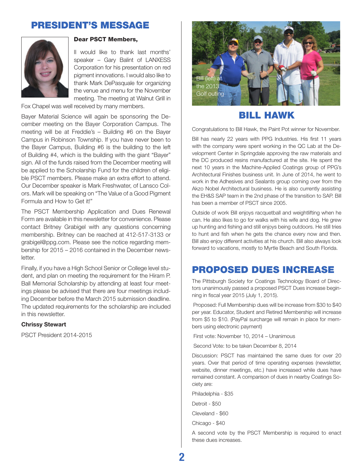# PRESIDENT's MESSAGE



### Dear PSCT Members,

II would like to thank last months' speaker – Gary Balint of LANXESS Corporation for his presentation on red pigment innovations. I would also like to thank Mark DePasquale for organizing the venue and menu for the November meeting. The meeting at Walnut Grill in

Fox Chapel was well received by many members.

Bayer Material Science will again be sponsoring the December meeting on the Bayer Corporation Campus. The meeting will be at Freddie's – Building #6 on the Bayer Campus in Robinson Township. If you have never been to the Bayer Campus, Building #6 is the building to the left of Building #4, which is the building with the giant "Bayer" sign. All of the funds raised from the December meeting will be applied to the Scholarship Fund for the children of eligible PSCT members. Please make an extra effort to attend. Our December speaker is Mark Freshwater, of Lansco Colors. Mark will be speaking on "The Value of a Good Pigment Formula and How to Get it!"

The PSCT Membership Application and Dues Renewal Form are available in this newsletter for convenience. Please contact Britney Grabigel with any questions concerning membership. Britney can be reached at 412-517-3133 or grabigel@ppg.com. Please see the notice regarding membership for 2015 – 2016 contained in the December newsletter.

Finally, if you have a High School Senior or College level student, and plan on meeting the requirement for the Hiram P. Ball Memorial Scholarship by attending at least four meetings please be advised that there are four meetings including December before the March 2015 submission deadline. The updated requirements for the scholarship are included in this newsletter.

#### **Chrissy Stewart**

PSCT President 2014-2015



### Bill Hawk

Congratulations to Bill Hawk, the Paint Pot winner for November.

Bill has nearly 22 years with PPG Industries. His first 11 years with the company were spent working in the QC Lab at the Development Center in Springdale approving the raw materials and the DC produced resins manufactured at the site. He spent the next 10 years in the Machine-Applied Coatings group of PPG's Architectural Finishes business unit. In June of 2014, he went to work in the Adhesives and Sealants group coming over from the Akzo Nobel Architectural business. He is also currently assisting the EH&S SAP team in the 2nd phase of the transition to SAP. Bill has been a member of PSCT since 2005.

Outside of work Bill enjoys racquetball and weightlifting when he can. He also likes to go for walks with his wife and dog. He grew up hunting and fishing and still enjoys being outdoors. He still tries to hunt and fish when he gets the chance every now and then. Bill also enjoy different activities at his church. Bill also always look forward to vacations, mostly to Myrtle Beach and South Florida.

### Proposed Dues Increase

The Pittsburgh Society for Coatings Technology Board of Directors unanimously passed a proposed PSCT Dues increase beginning in fiscal year 2015 (July 1, 2015).

 Proposed: Full Membership dues will be increase from \$30 to \$40 per year. Educator, Student and Retired Membership will increase from \$5 to \$10. (PayPal surcharge will remain in place for members using electronic payment)

First vote: November 10, 2014 – Unanimous

Second Vote: to be taken December 8, 2014

Discussion: PSCT has maintained the same dues for over 20 years. Over that period of time operating expenses (newsletter, website, dinner meetings, etc.) have increased while dues have remained constant. A comparison of dues in nearby Coatings Society are:

Philadelphia - \$35

Detroit - \$50

Cleveland - \$60

Chicago - \$40

A second vote by the PSCT Membership is required to enact these dues increases.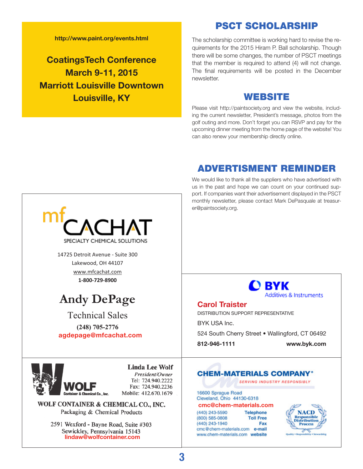**http://www.paint.org/events.html**

**CoatingsTech Conference March 9-11, 2015 Marriott Louisville Downtown Louisville, KY**

The scholarship committee is working hard to revise the requirements for the 2015 Hiram P. Ball scholarship. Though there will be some changes, the number of PSCT meetings that the member is required to attend (4) will not change. The final requirements will be posted in the December newsletter.

PSCT SCHOLARSHIP

### WEBSITE

Please visit http://paintsociety.org and view the website, including the current newsletter, President's message, photos from the golf outing and more. Don't forget you can RSVP and pay for the upcoming dinner meeting from the home page of the website! You can also renew your membership directly online.

# ADVERTISMENT REMINDER

We would like to thank all the suppliers who have advertised with us in the past and hope we can count on your continued support. If companies want their advertisement displayed in the PSCT monthly newsletter, please contact Mark DePasquale at treasurer@paintsociety.org.

**Process** 



2591 Wexford - Bayne Road, Suite #303 Sewickley, Pennsylvania 15143 **lindaw@wolfcontainer.com**

**3**

cmc@chem-materials.com e-mail

www.chem-materials.com website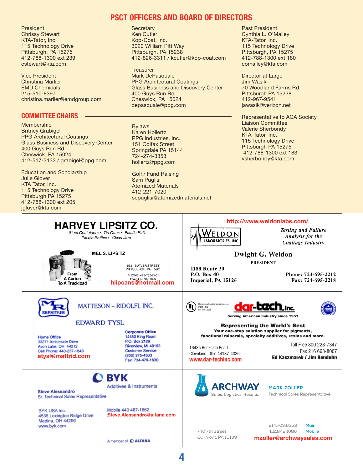**President** Chrissy Stewart KTA-Tator, Inc. 115 Technology Drive Pittsburgh, PA 15275 412-788-1300 ext 239 cstewart@kta.com

Vice President Christina Marlier EMD Chemicals 215-510-8397 christina.marlier@emdgroup.com

#### **Committee Chairs**

Membership Britney Grabigel PPG Architectural Coatings Glass Business and Discovery Center 400 Guys Run Rd. Cheswick, PA 15024 412-517-3133 / grabigel@ppg.com

Education and Scholarship Julie Glover KTA Tator, Inc. 115 Technology Drive Pittsburgh PA 15275 412-788-1300 ext 205 jglover@kta.com

### **PSCT Officers and board of directors**

**Secretary** Ken Cutler Kop-Coat, Inc. 3020 William Pitt Way Pittsburgh, PA 15238 412-826-3311 / kcutler@kop-coat.com

**Treasurer** Mark DePasquale PPG Architectural Coatings Glass Business and Discovery Center 400 Guys Run Rd. Cheswick, PA 15024 depasquale@ppg.com

Bylaws Karen Hollertz PPG Industries, Inc. 151 Colfax Street Springdale PA 15144 724-274-3353 hollertz@ppg.com

Golf / Fund Raising Sam Puglisi Atomized Materials 412-221-7020 sepuglisi@atomizedmaterials.net Past President Cynthia L. O'Malley KTA-Tator, Inc. 115 Technology Drive Pittsburgh, PA 15275 412-788-1300 ext 180 comalley@kta.com

Director at Large Jim Wasik 70 Woodland Farms Rd. Pittsburgh PA 15238 412-967-9541 jawasik@verizon.net

Representative to ACA Society Liaison Committee Valerie Sherbondy KTA-Tator, Inc. 115 Technology Drive Pittsburgh PA 15275 412-788-1300 ext 183 vsherbondy@kta.com



**4**